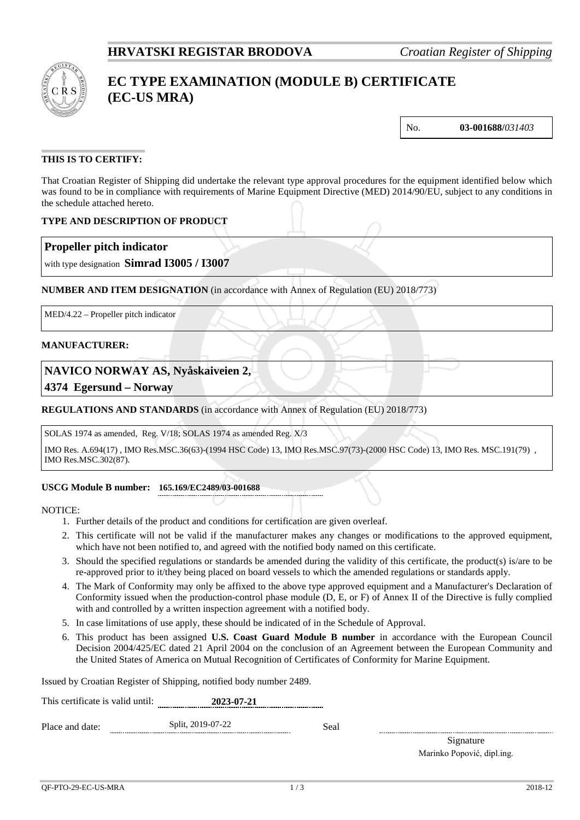

# **EC TYPE EXAMINATION (MODULE B) CERTIFICATE (EC-US MRA)**

No. **03-001688/***031403*

### **THIS IS TO CERTIFY:**

That Croatian Register of Shipping did undertake the relevant type approval procedures for the equipment identified below which was found to be in compliance with requirements of Marine Equipment Directive (MED) 2014/90/EU, subject to any conditions in the schedule attached hereto.

### **TYPE AND DESCRIPTION OF PRODUCT**

### **Propeller pitch indicator**

with type designation **Simrad I3005 / I3007**

### **NUMBER AND ITEM DESIGNATION** (in accordance with Annex of Regulation (EU) 2018/773)

MED/4.22 – Propeller pitch indicator

### **MANUFACTURER:**

### **NAVICO NORWAY AS, Nyåskaiveien 2,**

**4374 Egersund – Norway**

### **REGULATIONS AND STANDARDS** (in accordance with Annex of Regulation (EU) 2018/773)

SOLAS 1974 as amended, Reg. V/18; SOLAS 1974 as amended Reg. X/3

IMO Res. A.694(17) , IMO Res.MSC.36(63)-(1994 HSC Code) 13, IMO Res.MSC.97(73)-(2000 HSC Code) 13, IMO Res. MSC.191(79) , IMO Res.MSC.302(87).

### **USCG Module B number: 165.169/EC2489/03-001688**

NOTICE:

- 1. Further details of the product and conditions for certification are given overleaf.
- 2. This certificate will not be valid if the manufacturer makes any changes or modifications to the approved equipment, which have not been notified to, and agreed with the notified body named on this certificate.
- 3. Should the specified regulations or standards be amended during the validity of this certificate, the product(s) is/are to be re-approved prior to it/they being placed on board vessels to which the amended regulations or standards apply.
- 4. The Mark of Conformity may only be affixed to the above type approved equipment and a Manufacturer's Declaration of Conformity issued when the production-control phase module (D, E, or F) of Annex II of the Directive is fully complied with and controlled by a written inspection agreement with a notified body.
- 5. In case limitations of use apply, these should be indicated of in the Schedule of Approval.
- 6. This product has been assigned **U.S. Coast Guard Module B number** in accordance with the European Council Decision 2004/425/EC dated 21 April 2004 on the conclusion of an Agreement between the European Community and the United States of America on Mutual Recognition of Certificates of Conformity for Marine Equipment.

Issued by Croatian Register of Shipping, notified body number 2489.

| This certificate is valid until: | 2023-07-21        |      |  |
|----------------------------------|-------------------|------|--|
| Place and date:                  | Split, 2019-07-22 | Seal |  |

Signature Marinko Popović, dipl.ing.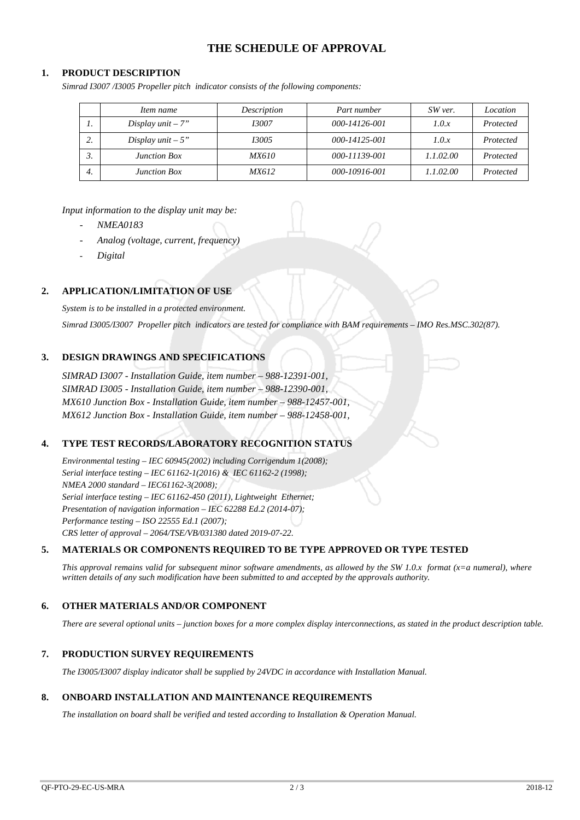# **THE SCHEDULE OF APPROVAL**

### **1. PRODUCT DESCRIPTION**

*Simrad I3007 /I3005 Propeller pitch indicator consists of the following components:*

|     | Item name           | Description  | Part number   | SW ver.   | Location  |
|-----|---------------------|--------------|---------------|-----------|-----------|
| . . | Display $unit - 7"$ | 13007        | 000-14126-001 | 1.0.x     | Protected |
| ٠.  | Display unit $-5"$  | 13005        | 000-14125-001 | 1.0.x     | Protected |
| ັ.  | <b>Junction Box</b> | <i>MX610</i> | 000-11139-001 | 1.1.02.00 | Protected |
| 4.  | <b>Junction Box</b> | <i>MX612</i> | 000-10916-001 | 1.1.02.00 | Protected |

*Input information to the display unit may be:*

- *NMEA0183*
- *Analog (voltage, current, frequency)*
- *Digital*

### **2. APPLICATION/LIMITATION OF USE**

*System is to be installed in a protected environment.*

*Simrad I3005/I3007 Propeller pitch indicators are tested for compliance with BAM requirements – IMO Res.MSC.302(87).*

### **3. DESIGN DRAWINGS AND SPECIFICATIONS**

*SIMRAD I3007 - Installation Guide, item number – 988-12391-001, SIMRAD I3005 - Installation Guide, item number – 988-12390-001, MX610 Junction Box - Installation Guide, item number – 988-12457-001, MX612 Junction Box - Installation Guide, item number – 988-12458-001,*

### **4. TYPE TEST RECORDS/LABORATORY RECOGNITION STATUS**

*Environmental testing – IEC 60945(2002) including Corrigendum 1(2008); Serial interface testing – IEC 61162-1(2016) & IEC 61162-2 (1998); NMEA 2000 standard – IEC61162-3(2008); Serial interface testing – IEC 61162-450 (2011), Lightweight Ethernet; Presentation of navigation information – IEC 62288 Ed.2 (2014-07); Performance testing – ISO 22555 Ed.1 (2007); CRS letter of approval – 2064/TSE/VB/031380 dated 2019-07-22.*

### **5. MATERIALS OR COMPONENTS REQUIRED TO BE TYPE APPROVED OR TYPE TESTED**

*This approval remains valid for subsequent minor software amendments, as allowed by the SW 1.0.x format (x=a numeral), where written details of any such modification have been submitted to and accepted by the approvals authority.*

### **6. OTHER MATERIALS AND/OR COMPONENT**

*There are several optional units – junction boxes for a more complex display interconnections, as stated in the product description table.* 

### **7. PRODUCTION SURVEY REQUIREMENTS**

*The I3005/I3007 display indicator shall be supplied by 24VDC in accordance with Installation Manual.*

#### **8. ONBOARD INSTALLATION AND MAINTENANCE REQUIREMENTS**

*The installation on board shall be verified and tested according to Installation & Operation Manual.*